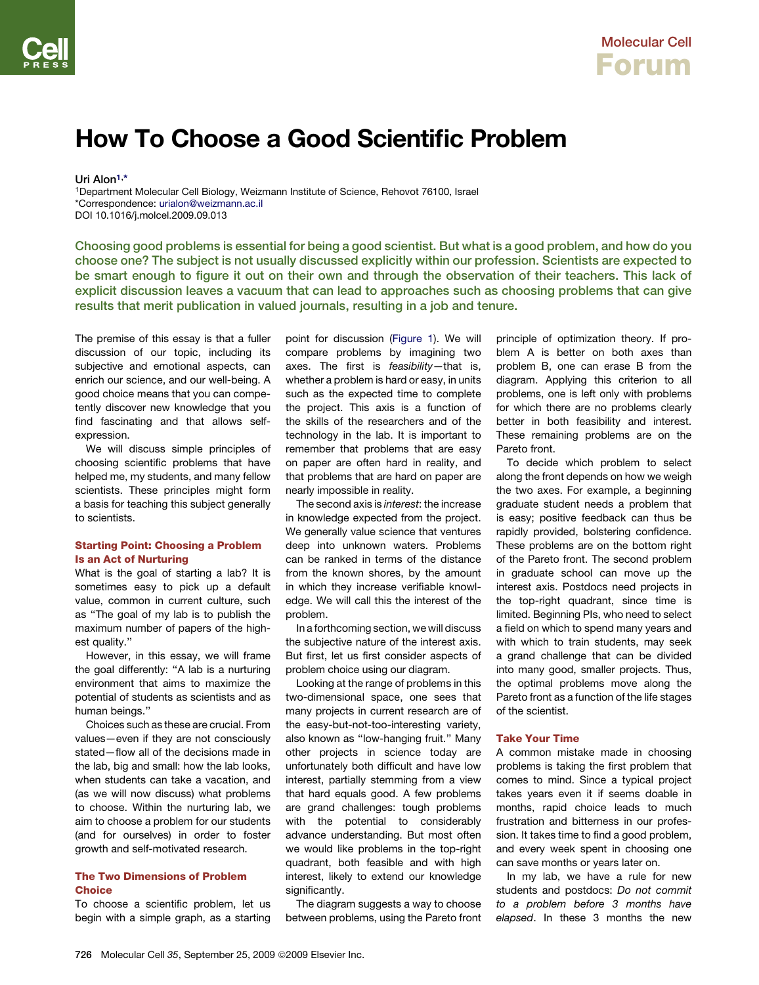# How To Choose a Good Scientific Problem

Uri Alon<sup>1,\*</sup>

1Department Molecular Cell Biology, Weizmann Institute of Science, Rehovot 76100, Israel \*Correspondence: [urialon@weizmann.ac.il](mailto:urialon@weizmann.ac.il) DOI 10.1016/j.molcel.2009.09.013

Choosing good problems is essential for being a good scientist. But what is a good problem, and how do you choose one? The subject is not usually discussed explicitly within our profession. Scientists are expected to be smart enough to figure it out on their own and through the observation of their teachers. This lack of explicit discussion leaves a vacuum that can lead to approaches such as choosing problems that can give results that merit publication in valued journals, resulting in a job and tenure.

The premise of this essay is that a fuller discussion of our topic, including its subjective and emotional aspects, can enrich our science, and our well-being. A good choice means that you can competently discover new knowledge that you find fascinating and that allows selfexpression.

We will discuss simple principles of choosing scientific problems that have helped me, my students, and many fellow scientists. These principles might form a basis for teaching this subject generally to scientists.

### Starting Point: Choosing a Problem Is an Act of Nurturing

What is the goal of starting a lab? It is sometimes easy to pick up a default value, common in current culture, such as ''The goal of my lab is to publish the maximum number of papers of the highest quality.''

However, in this essay, we will frame the goal differently: ''A lab is a nurturing environment that aims to maximize the potential of students as scientists and as human beings.''

Choices such as these are crucial. From values—even if they are not consciously stated—flow all of the decisions made in the lab, big and small: how the lab looks, when students can take a vacation, and (as we will now discuss) what problems to choose. Within the nurturing lab, we aim to choose a problem for our students (and for ourselves) in order to foster growth and self-motivated research.

## The Two Dimensions of Problem **Choice**

To choose a scientific problem, let us begin with a simple graph, as a starting point for discussion ([Figure 1\)](#page-1-0). We will compare problems by imagining two axes. The first is *feasibility*—that is, whether a problem is hard or easy, in units such as the expected time to complete the project. This axis is a function of the skills of the researchers and of the technology in the lab. It is important to remember that problems that are easy on paper are often hard in reality, and that problems that are hard on paper are nearly impossible in reality.

The second axis is *interest*: the increase in knowledge expected from the project. We generally value science that ventures deep into unknown waters. Problems can be ranked in terms of the distance from the known shores, by the amount in which they increase verifiable knowledge. We will call this the interest of the problem.

In a forthcoming section, we will discuss the subjective nature of the interest axis. But first, let us first consider aspects of problem choice using our diagram.

Looking at the range of problems in this two-dimensional space, one sees that many projects in current research are of the easy-but-not-too-interesting variety, also known as ''low-hanging fruit.'' Many other projects in science today are unfortunately both difficult and have low interest, partially stemming from a view that hard equals good. A few problems are grand challenges: tough problems with the potential to considerably advance understanding. But most often we would like problems in the top-right quadrant, both feasible and with high interest, likely to extend our knowledge significantly.

The diagram suggests a way to choose between problems, using the Pareto front principle of optimization theory. If problem A is better on both axes than problem B, one can erase B from the diagram. Applying this criterion to all problems, one is left only with problems for which there are no problems clearly better in both feasibility and interest. These remaining problems are on the Pareto front.

To decide which problem to select along the front depends on how we weigh the two axes. For example, a beginning graduate student needs a problem that is easy; positive feedback can thus be rapidly provided, bolstering confidence. These problems are on the bottom right of the Pareto front. The second problem in graduate school can move up the interest axis. Postdocs need projects in the top-right quadrant, since time is limited. Beginning PIs, who need to select a field on which to spend many years and with which to train students, may seek a grand challenge that can be divided into many good, smaller projects. Thus, the optimal problems move along the Pareto front as a function of the life stages of the scientist.

### Take Your Time

A common mistake made in choosing problems is taking the first problem that comes to mind. Since a typical project takes years even it if seems doable in months, rapid choice leads to much frustration and bitterness in our profession. It takes time to find a good problem, and every week spent in choosing one can save months or years later on.

In my lab, we have a rule for new students and postdocs: *Do not commit to a problem before 3 months have elapsed*. In these 3 months the new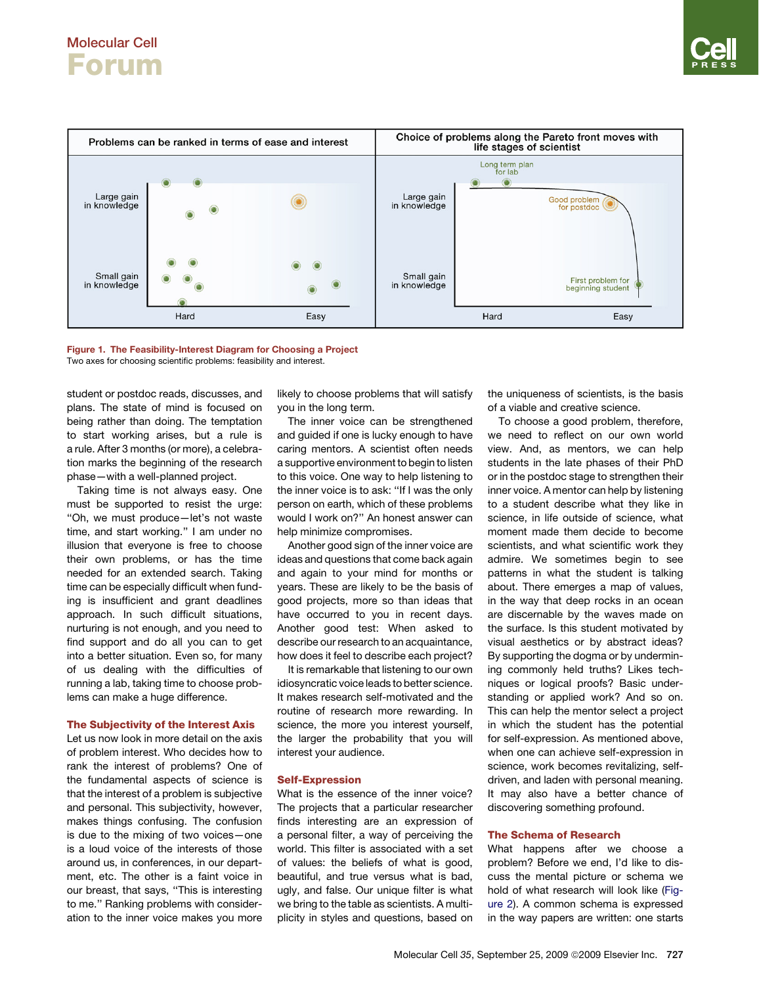# <span id="page-1-0"></span>Molecular Cell Forum



Figure 1. The Feasibility-Interest Diagram for Choosing a Project Two axes for choosing scientific problems: feasibility and interest.

student or postdoc reads, discusses, and plans. The state of mind is focused on being rather than doing. The temptation to start working arises, but a rule is a rule. After 3 months (or more), a celebration marks the beginning of the research phase—with a well-planned project.

Taking time is not always easy. One must be supported to resist the urge: ''Oh, we must produce—let's not waste time, and start working.'' I am under no illusion that everyone is free to choose their own problems, or has the time needed for an extended search. Taking time can be especially difficult when funding is insufficient and grant deadlines approach. In such difficult situations, nurturing is not enough, and you need to find support and do all you can to get into a better situation. Even so, for many of us dealing with the difficulties of running a lab, taking time to choose problems can make a huge difference.

#### The Subjectivity of the Interest Axis

Let us now look in more detail on the axis of problem interest. Who decides how to rank the interest of problems? One of the fundamental aspects of science is that the interest of a problem is subjective and personal. This subjectivity, however, makes things confusing. The confusion is due to the mixing of two voices—one is a loud voice of the interests of those around us, in conferences, in our department, etc. The other is a faint voice in our breast, that says, ''This is interesting to me.'' Ranking problems with consideration to the inner voice makes you more likely to choose problems that will satisfy you in the long term.

The inner voice can be strengthened and guided if one is lucky enough to have caring mentors. A scientist often needs a supportive environment to begin to listen to this voice. One way to help listening to the inner voice is to ask: ''If I was the only person on earth, which of these problems would I work on?'' An honest answer can help minimize compromises.

Another good sign of the inner voice are ideas and questions that come back again and again to your mind for months or years. These are likely to be the basis of good projects, more so than ideas that have occurred to you in recent days. Another good test: When asked to describe our research to an acquaintance, how does it feel to describe each project?

It is remarkable that listening to our own idiosyncratic voice leads to better science. It makes research self-motivated and the routine of research more rewarding. In science, the more you interest yourself, the larger the probability that you will interest your audience.

#### Self-Expression

What is the essence of the inner voice? The projects that a particular researcher finds interesting are an expression of a personal filter, a way of perceiving the world. This filter is associated with a set of values: the beliefs of what is good, beautiful, and true versus what is bad, ugly, and false. Our unique filter is what we bring to the table as scientists. A multiplicity in styles and questions, based on

the uniqueness of scientists, is the basis of a viable and creative science.

To choose a good problem, therefore, we need to reflect on our own world view. And, as mentors, we can help students in the late phases of their PhD or in the postdoc stage to strengthen their inner voice. A mentor can help by listening to a student describe what they like in science, in life outside of science, what moment made them decide to become scientists, and what scientific work they admire. We sometimes begin to see patterns in what the student is talking about. There emerges a map of values, in the way that deep rocks in an ocean are discernable by the waves made on the surface. Is this student motivated by visual aesthetics or by abstract ideas? By supporting the dogma or by undermining commonly held truths? Likes techniques or logical proofs? Basic understanding or applied work? And so on. This can help the mentor select a project in which the student has the potential for self-expression. As mentioned above, when one can achieve self-expression in science, work becomes revitalizing, selfdriven, and laden with personal meaning. It may also have a better chance of discovering something profound.

#### The Schema of Research

What happens after we choose a problem? Before we end, I'd like to discuss the mental picture or schema we hold of what research will look like [\(Fig](#page-2-0)[ure 2\)](#page-2-0). A common schema is expressed in the way papers are written: one starts